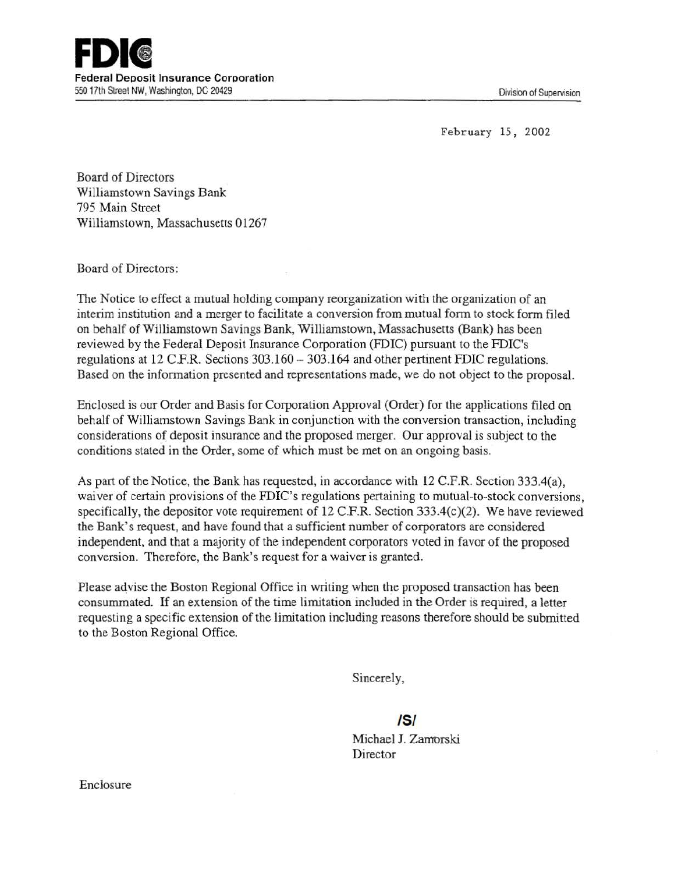February 15, 2002

Board of Directors Williamstown Savings Bank 795 Main Street Williamstown, Massachusetts 01267

Board of Directors:

The Notice to effect a mutual holding company reorganization with the organization of an interim institution and a merger to facilitate a conversion from mutual form to stock form filed on behalf of Williamstown Savings Bank, Williamstown, Massachusetts (Bank) has been reviewed by the Federal Deposit Insurance Corporation (FDIC) pursuant to the FDIC's regulations at 12 C.P.R. Sections 303.160 - 303.164 and other pertinent FDIC regulations. Based on the information presented and representations made, we do not object to the proposal.

Enclosed is our Order and Basis for Corporation Approval (Order) for the applications filed on behalf of Williamstown Savings Bank in conjunction with the conversion transaction, including considerations of deposit insurance and the proposed merger. Our approval is subject to the conditions stated in the Order, some of which must be met on an ongoing basis.

As part of the Notice, the Bank has requested, in accordance with 12 C.P.R. Section 333.4(a), waiver of certain provisions of the FDIC's regulations pertaining to mutual-to-stock conversions, specifically, the depositor vote requirement of 12 C.F.R. Section  $333.4(c)(2)$ . We have reviewed the Bank's request, and have found that a sufficient number of corporators are considered independent, and that a majority of the independent corporators voted in favor of the proposed conversion. Therefore, the Bank's request for a waiver is granted.

Please advise the Boston Regional Office in writing when the proposed transaction has been consummated. If an extension of the time limitation included in the Order is required, a letter requesting a specific extension of the limitation including reasons therefore should be submitted to the Boston Regional Office.

Sincerely,

/5/

Michael J. Zamorski Director

Enclosure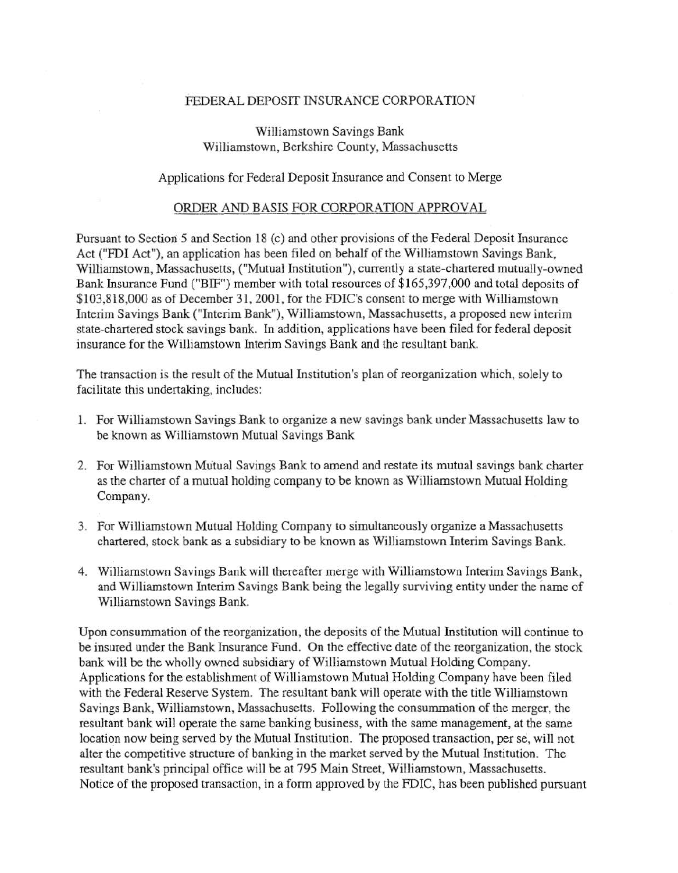## FEDERAL DEPOSIT INSURANCE CORPORATION

## Williamstown Savings Bank Williamstown, Berkshire County, Massachusetts

## Applications for Federal Deposit Insurance and Consent to Merge

## ORDER AND BASIS FOR CORPORATION APPROVAL

Pursuant to Section 5 and Section 18 (c) and other provisions of the Federal Deposit Insurance Act ("FDI Act"), an application has been filed on behalf of the Williamstown Savings Bank, Williamstown, Massachusetts, ("Mutual Institution"), currently a state-chartered mutually-owned Bank Insurance Fund ("BIF") member with total resources of \$165,397,000 and total deposits of \$103,818,000 as of December 31,2001, for the FDIC's consent to merge with Williamstown Interim Savings Bank ("Interim Bank"), Williamstown, Massachusetts, a proposed new interim state-chartered stock savings bank. In addition, applications have been filed for federal deposit insurance for the Williamstown Interim Savings Bank and the resultant bank.

The transaction is the result of the Mutual Institution's plan of reorganization which, solely to facilitate this undertaking, includes:

- 1. For Williamstown Savings Bank to organize a new savings bank under Massachusetts law to be known as Williamstown Mutual Savings Bank
- 2. For Williamstown Mutual Savings Bank to amend and restate its mutual savings bank charter as the charter of a mutual holding company to be known as W illiamstown Mutual Holding Company.
- 3. For Williamstown Mutual Holding Company to simultaneously organize a Massachusetts chartered, stock bank as a subsidiary to be known as Williamstown Interim Savings Bank.
- 4. Williamstown Savings Bank will thereafter merge with Williamstown Interim Savings Bank, and Williamstown Interim Savings Bank being the legally surviving entity under the name of Williamstown Savings Bank.

Upon consummation of the reorganization, the deposits of the Mutual Institution will continue to be insured under the Bank Insurance Fund. On the effective date of the reorganization, the stock bank will be the wholly owned subsidiary of Williamstown Mutual Holding Company. Applications for the establishment of Williamstown Mutual Holding Company have been filed with the Federal Reserve System. The resultant bank will operate with the title Williamstown Savings Bank, Wi1liamstown, Massachusetts. Following the consummation of the merger, the resultant bank will operate the same banking business, with the same management, at the same location now being served by the Mutual Institution. The proposed transaction, per se, will not alter the competitive structure of banking in the market served by the Mutual Institution. The resultant bank's principal office will be at 795 Main Street, Williamstown, Massachusetts. Notice of the proposed transaction, in a form approved by the FDIC, has been published pursuant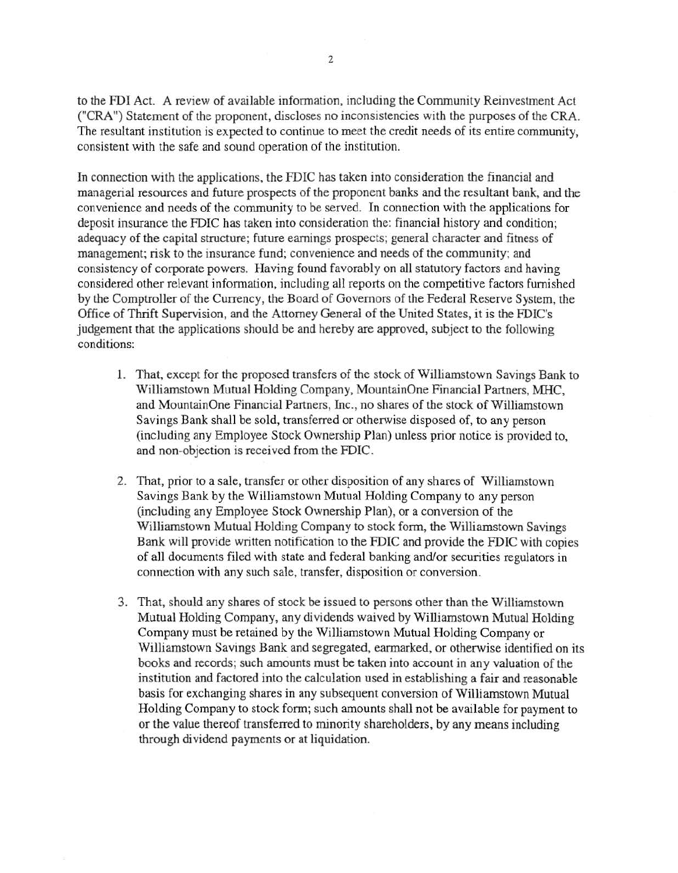to the FDI Act. A review of available information, including the Community Reinvestment Act ("CRA") Statement of the proponent, discloses no inconsistencies with the purposes of the CRA. The resultant institution is expected to continue to meet the credit needs of its entire community, consistent with the safe and sound operation of the institution.

In connection with the applications, the FDIC has taken into consideration the financial and managerial resources and future prospects of the proponent banks and the resultant bank, and the convenience and needs of the community to be served. In connection with the applications for deposit insurance the FDIC has taken into consideration the: financial history and condition; adequacy of the capital structure; future earnings prospects; general character and fitness of management; risk to the insurance fund; convenience and needs of the community; and consistency of corporate powers. Having found favorably on all statutory factors and having considered other relevant information, including all reports on the competitive factors furnished by the Comptroller of the Currency, the Board of Governors of the Federal Reserve System, the Office of Thrift Supervision, and the Attorney General of the United States, it is the FDIC's judgement that the applications should be and hereby are approved, subject to the following conditions:

- 1. That, except for the proposed transfers of the stock of Williamstown Savings Bank to Williamstown Mutual Holding Company, MountainOne Financial Partners, MHC, and Mountain One Financial Partners, Inc., no shares of the stock of Williamstown Savings Bank shall be sold, transferred or otherwise disposed of, to any person (including any Employee Stock Ownership Plan) unless prior notice is provided to, and non-objection is received from the FDIC.
- 2. That, prior to a sale, transfer or other disposition of any shares of Williamstown Savings Bank by the Williamstown Mutual Holding Company to any person (including any Employee Stock Ownership Plan), or a conversion of the Williamstown Mutual Holding Company to stock form, the Williamstown Savings Bank will provide written notification to the FDIC and provide the FDIC with copies of all documents filed with state and federal banking and/or securities regulators in connection with any such sale, transfer, disposition or conversion.
- 3. That, should any shares of stock be issued to persons other than the Williamstown Mutual Holding Company, any dividends waived by Williamstown Mutual Holding Company must be retained by the Williamstown Mutual Holding Company or Williamstown Savings Bank and segregated, earmarked, or otherwise identified on its books and records; such amounts must be taken into account in any valuation of the institution and factored into the calculation used in establishing a fair and reasonable basis for exchanging shares in any subsequent conversion of Williamstown Mutual Holding Company to stock form; such amounts shall not be available for payment to or the value thereof transferred to minority shareholders, by any means including through dividend payments or at liquidation.